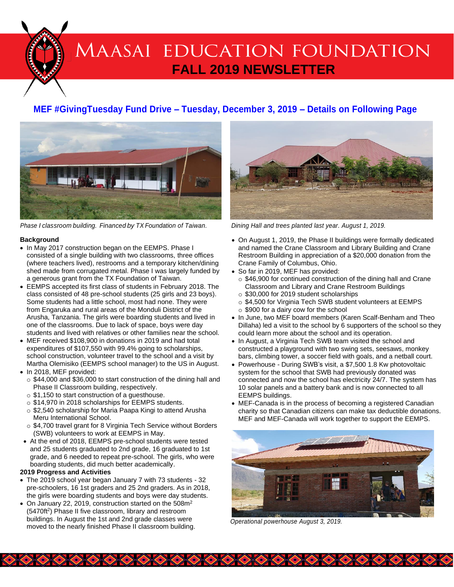# MAASAI EDUCATION FOUNDATION **FALL 2019 NEWSLETTER**

# **MEF #GivingTuesday Fund Drive – Tuesday, December 3, 2019 – Details on Following Page**



*Phase I classroom building. Financed by TX Foundation of Taiwan. Dining Hall and trees planted last year. August 1, 2019.*

#### **Background**

- In May 2017 construction began on the EEMPS. Phase I consisted of a single building with two classrooms, three offices (where teachers lived), restrooms and a temporary kitchen/dining shed made from corrugated metal. Phase I was largely funded by a generous grant from the TX Foundation of Taiwan.
- EEMPS accepted its first class of students in February 2018. The class consisted of 48 pre-school students (25 girls and 23 boys). Some students had a little school, most had none. They were from Engaruka and rural areas of the Monduli District of the Arusha, Tanzania. The girls were boarding students and lived in one of the classrooms. Due to lack of space, boys were day students and lived with relatives or other families near the school.
- MEF received \$108,900 in donations in 2019 and had total expenditures of \$107,550 with 99.4% going to scholarships, school construction, volunteer travel to the school and a visit by Martha Olemisiko (EEMPS school manager) to the US in August.
- In 2018, MEF provided:
	- o \$44,000 and \$36,000 to start construction of the dining hall and Phase II Classroom building, respectively.
	- o \$1,150 to start construction of a guesthouse.
	- o \$14,970 in 2018 scholarships for EEMPS students.
	- o \$2,540 scholarship for Maria Paapa Kingi to attend Arusha Meru International School.
	- o \$4,700 travel grant for 8 Virginia Tech Service without Borders (SWB) volunteers to work at EEMPS in May.
- At the end of 2018, EEMPS pre-school students were tested and 25 students graduated to 2nd grade, 16 graduated to 1st grade, and 6 needed to repeat pre-school. The girls, who were boarding students, did much better academically.

#### **2019 Progress and Activities**

- The 2019 school year began January 7 with 73 students 32 pre-schoolers, 16 1st graders and 25 2nd graders. As in 2018, the girls were boarding students and boys were day students.
- On January 22, 2019, construction started on the  $508m^2$ (5470ft<sup>2</sup>) Phase II five classroom, library and restroom buildings. In August the 1st and 2nd grade classes were moved to the nearly finished Phase II classroom building.



- On August 1, 2019, the Phase II buildings were formally dedicated and named the Crane Classroom and Library Building and Crane Restroom Building in appreciation of a \$20,000 donation from the Crane Family of Columbus, Ohio.
- So far in 2019, MEF has provided:
	- o \$46,900 for continued construction of the dining hall and Crane Classroom and Library and Crane Restroom Buildings
	- o \$30,000 for 2019 student scholarships
	- o \$4,500 for Virginia Tech SWB student volunteers at EEMPS o \$900 for a dairy cow for the school
- In June, two MEF board members (Karen Scalf-Benham and Theo Dillaha) led a visit to the school by 6 supporters of the school so they could learn more about the school and its operation.
- In August, a Virginia Tech SWB team visited the school and constructed a playground with two swing sets, seesaws, monkey bars, climbing tower, a soccer field with goals, and a netball court.
- Powerhouse During SWB's visit, a \$7,500 1.8 Kw photovoltaic system for the school that SWB had previously donated was connected and now the school has electricity 24/7. The system has 10 solar panels and a battery bank and is now connected to all EEMPS buildings.
- MEF-Canada is in the process of becoming a registered Canadian charity so that Canadian citizens can make tax deductible donations. MEF and MEF-Canada will work together to support the EEMPS.



*Operational powerhouse August 3, 2019.*

**BOOK A READER AND CARD COMPANY**